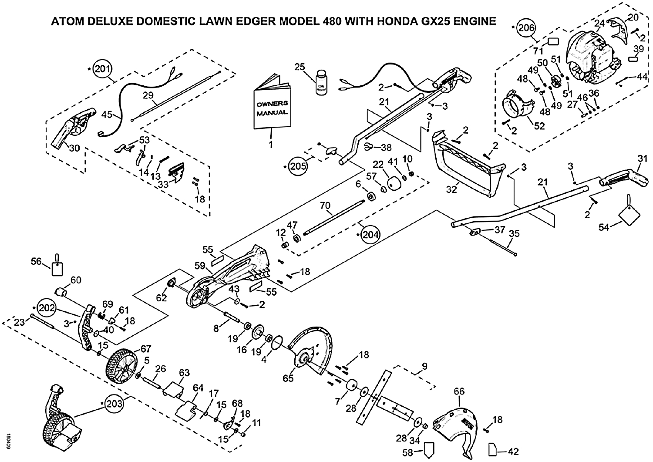